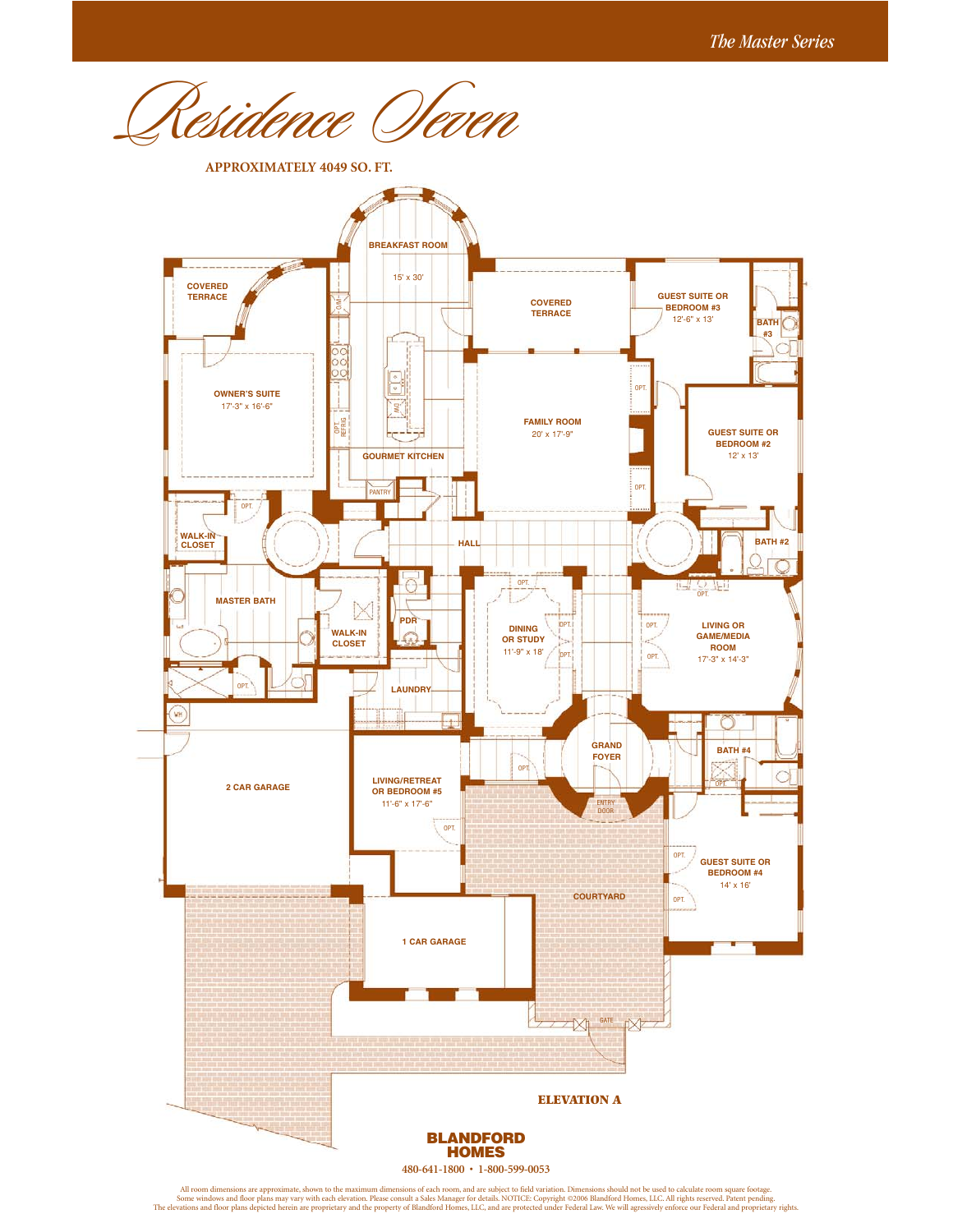idence Oleven

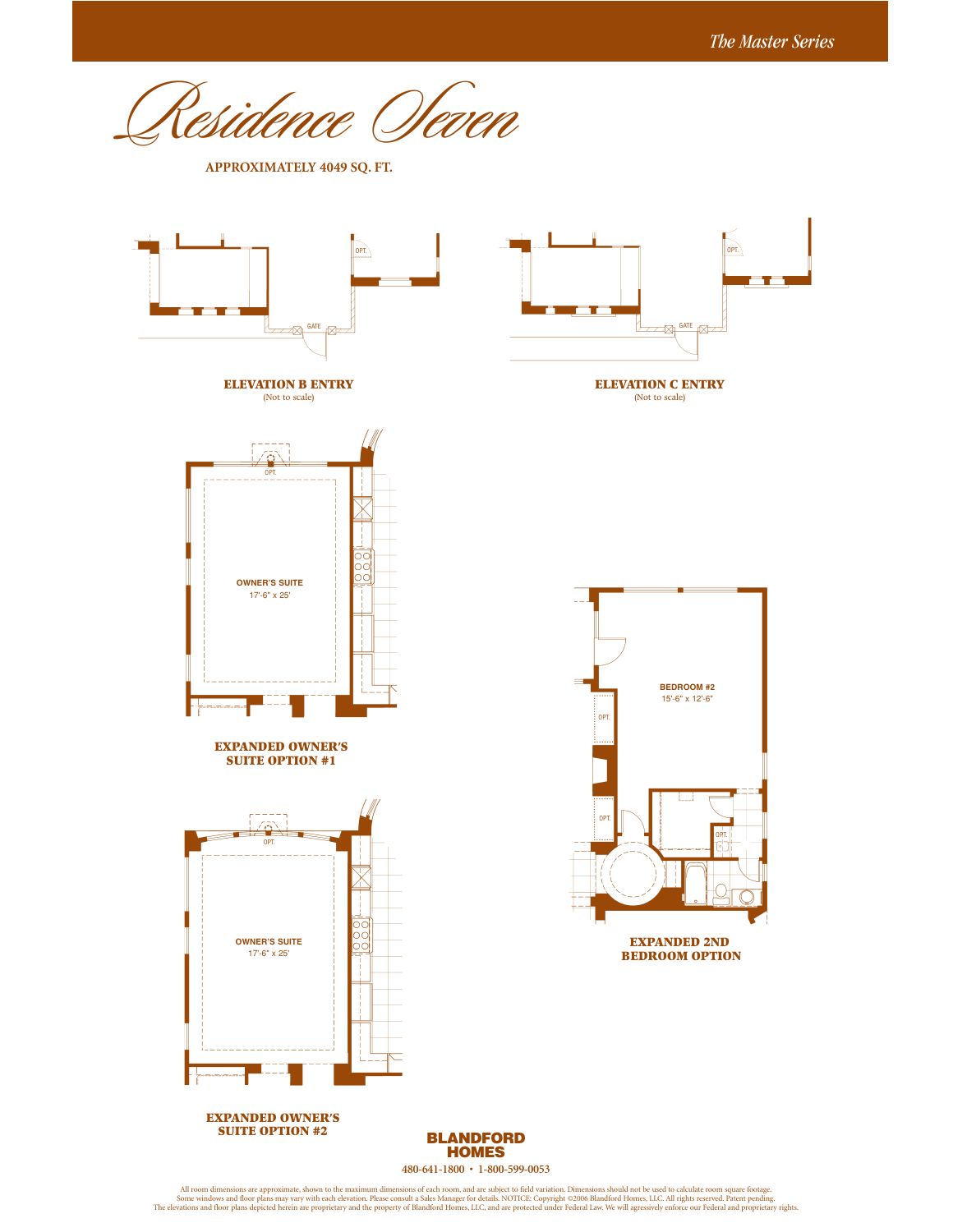OPT.

OPT.

sidence *Ve*ven

**APPROXIMATELY 4049 SQ. FT.**

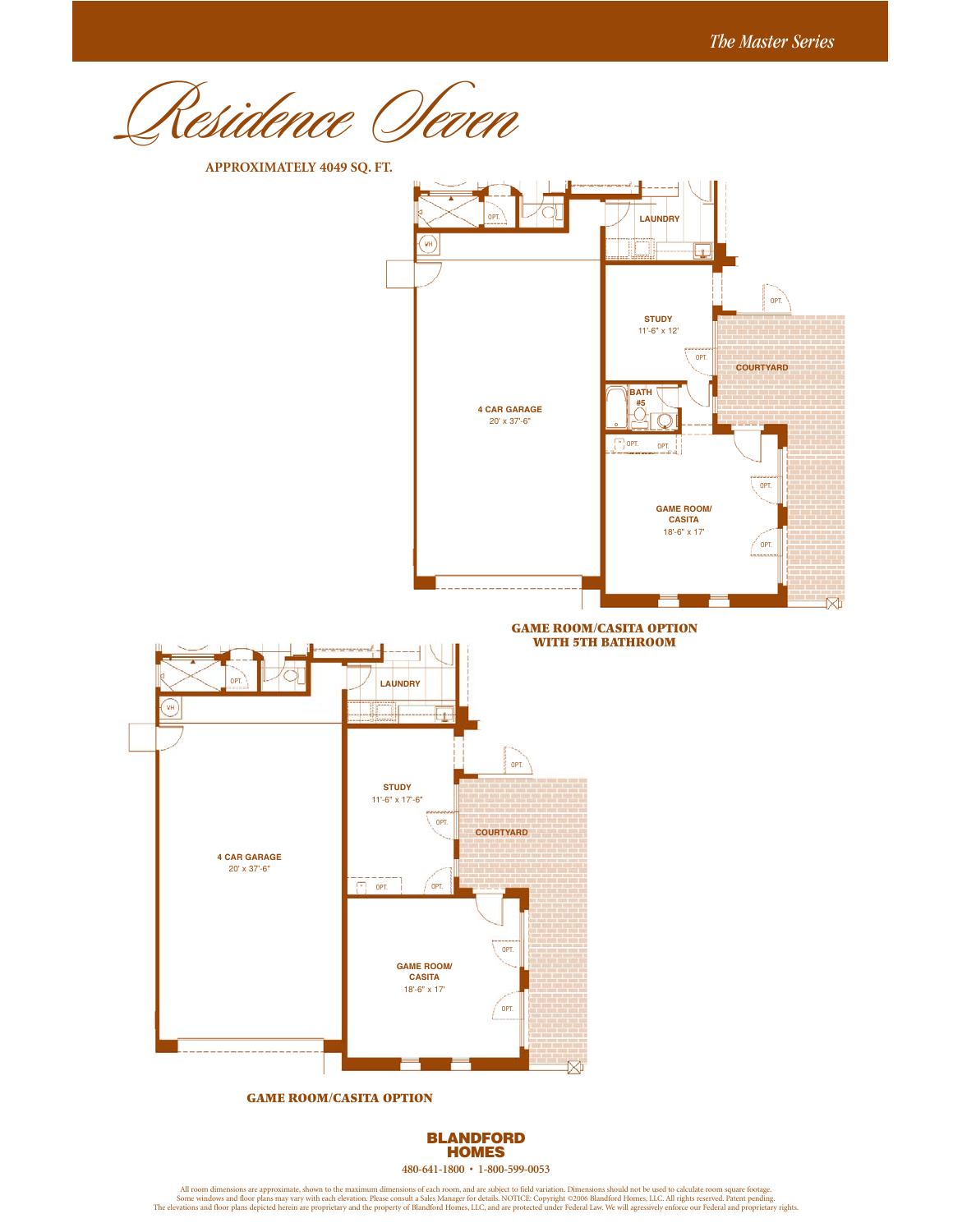rsidence Ofever



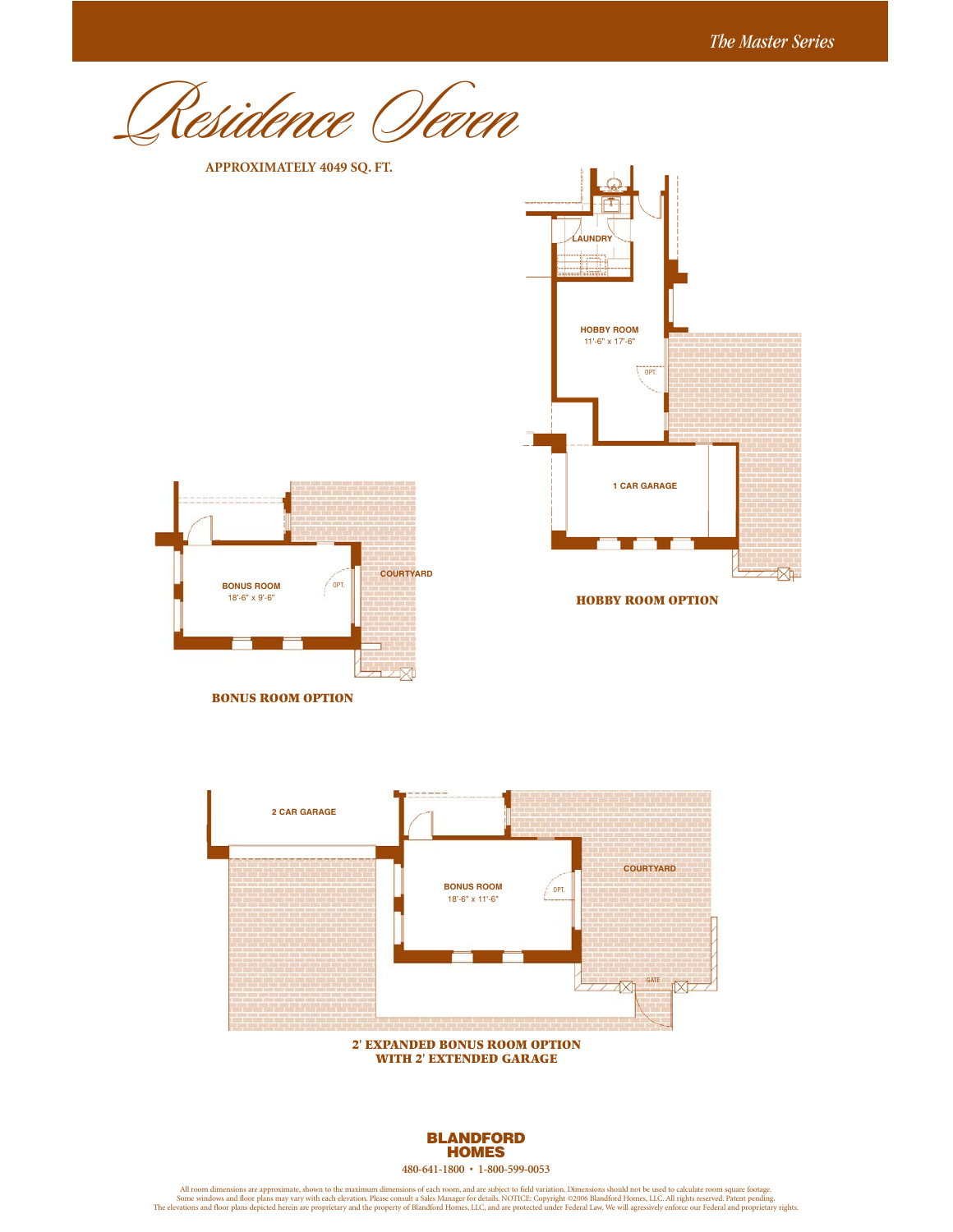Residence Seven





**BONUS ROOM OPTION**

**HOBBY ROOM OPTION**



**2' EXPANDED BONUS ROOM OPTION WITH 2' EXTENDED GARAGE**



**480-641-1800 • 1-800-599-0053**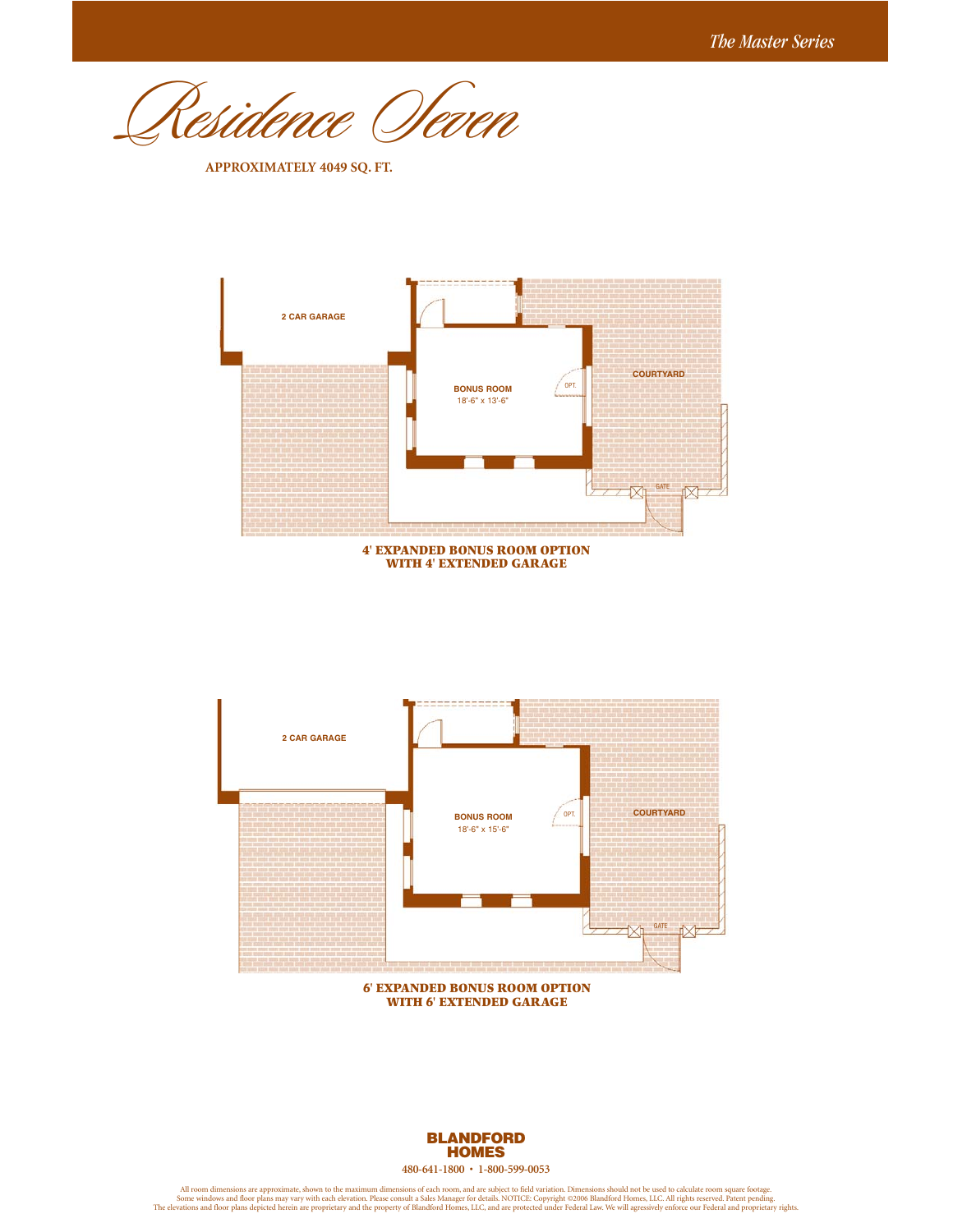Residence Seven

**APPROXIMATELY 4049 SQ. FT.**



**WITH 4' EXTENDED GARAGE**



**6' EXPANDED BONUS ROOM OPTION WITH 6' EXTENDED GARAGE**